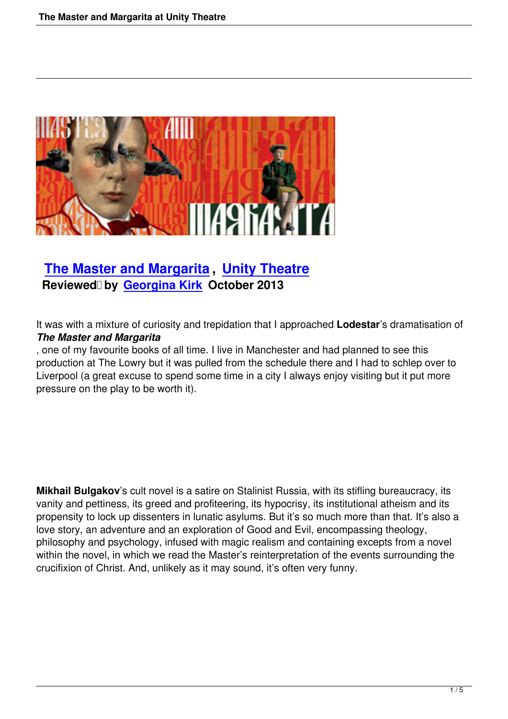

# **The Master and Margarita , Unity Theatre** Reviewed by Georgina Kirk October 2013

It was with a mixtur[e of curiosity and](writers.html#georgina-kirk) trepidation that I approached **Lodestar**'s dramatisation of *The Master and Margarita*

, one of my favourite books of all time. I live in Manchester and had planned to see this production at The Lowry but it was pulled from the schedule there and I had to schlep over to Liverpool (a great excuse to spend some time in a city I always enjoy visiting but it put more pressure on the play to be worth it).

**Mikhail Bulgakov**'s cult novel is a satire on Stalinist Russia, with its stifling bureaucracy, its vanity and pettiness, its greed and profiteering, its hypocrisy, its institutional atheism and its propensity to lock up dissenters in lunatic asylums. But it's so much more than that. It's also a love story, an adventure and an exploration of Good and Evil, encompassing theology, philosophy and psychology, infused with magic realism and containing excepts from a novel within the novel, in which we read the Master's reinterpretation of the events surrounding the crucifixion of Christ. And, unlikely as it may sound, it's often very funny.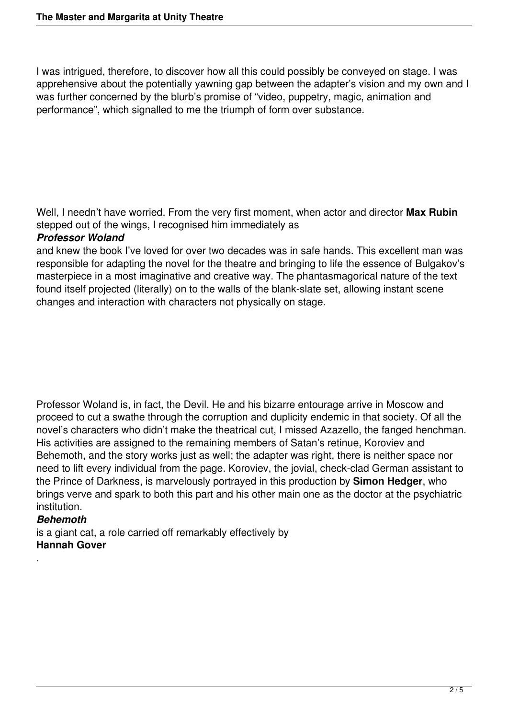I was intrigued, therefore, to discover how all this could possibly be conveyed on stage. I was apprehensive about the potentially yawning gap between the adapter's vision and my own and I was further concerned by the blurb's promise of "video, puppetry, magic, animation and performance", which signalled to me the triumph of form over substance.

Well, I needn't have worried. From the very first moment, when actor and director **Max Rubin** stepped out of the wings, I recognised him immediately as

## *Professor Woland*

and knew the book I've loved for over two decades was in safe hands. This excellent man was responsible for adapting the novel for the theatre and bringing to life the essence of Bulgakov's masterpiece in a most imaginative and creative way. The phantasmagorical nature of the text found itself projected (literally) on to the walls of the blank-slate set, allowing instant scene changes and interaction with characters not physically on stage.

Professor Woland is, in fact, the Devil. He and his bizarre entourage arrive in Moscow and proceed to cut a swathe through the corruption and duplicity endemic in that society. Of all the novel's characters who didn't make the theatrical cut, I missed Azazello, the fanged henchman. His activities are assigned to the remaining members of Satan's retinue, Koroviev and Behemoth, and the story works just as well; the adapter was right, there is neither space nor need to lift every individual from the page. Koroviev, the jovial, check-clad German assistant to the Prince of Darkness, is marvelously portrayed in this production by **Simon Hedger**, who brings verve and spark to both this part and his other main one as the doctor at the psychiatric institution.

#### *Behemoth*

.

is a giant cat, a role carried off remarkably effectively by **Hannah Gover**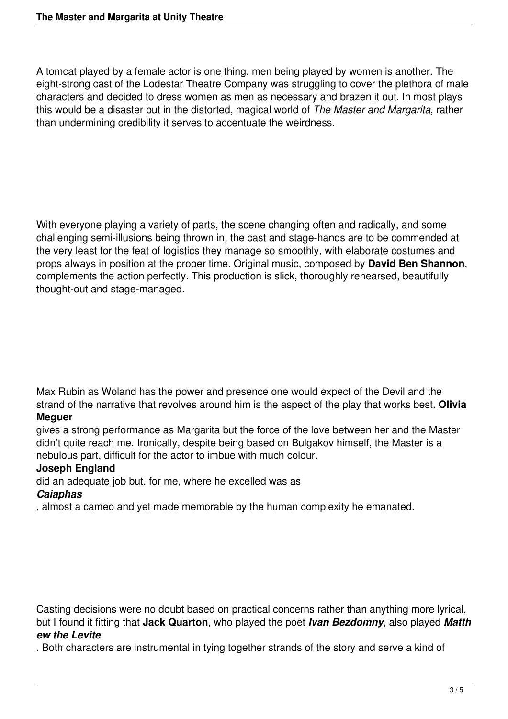A tomcat played by a female actor is one thing, men being played by women is another. The eight-strong cast of the Lodestar Theatre Company was struggling to cover the plethora of male characters and decided to dress women as men as necessary and brazen it out. In most plays this would be a disaster but in the distorted, magical world of *The Master and Margarita*, rather than undermining credibility it serves to accentuate the weirdness.

With everyone playing a variety of parts, the scene changing often and radically, and some challenging semi-illusions being thrown in, the cast and stage-hands are to be commended at the very least for the feat of logistics they manage so smoothly, with elaborate costumes and props always in position at the proper time. Original music, composed by **David Ben Shannon**, complements the action perfectly. This production is slick, thoroughly rehearsed, beautifully thought-out and stage-managed.

Max Rubin as Woland has the power and presence one would expect of the Devil and the strand of the narrative that revolves around him is the aspect of the play that works best. **Olivia Meguer**

gives a strong performance as Margarita but the force of the love between her and the Master didn't quite reach me. Ironically, despite being based on Bulgakov himself, the Master is a nebulous part, difficult for the actor to imbue with much colour.

# **Joseph England**

did an adequate job but, for me, where he excelled was as

## *Caiaphas*

, almost a cameo and yet made memorable by the human complexity he emanated.

Casting decisions were no doubt based on practical concerns rather than anything more lyrical, but I found it fitting that **Jack Quarton**, who played the poet *Ivan Bezdomny*, also played *Matth ew the Levite*

. Both characters are instrumental in tying together strands of the story and serve a kind of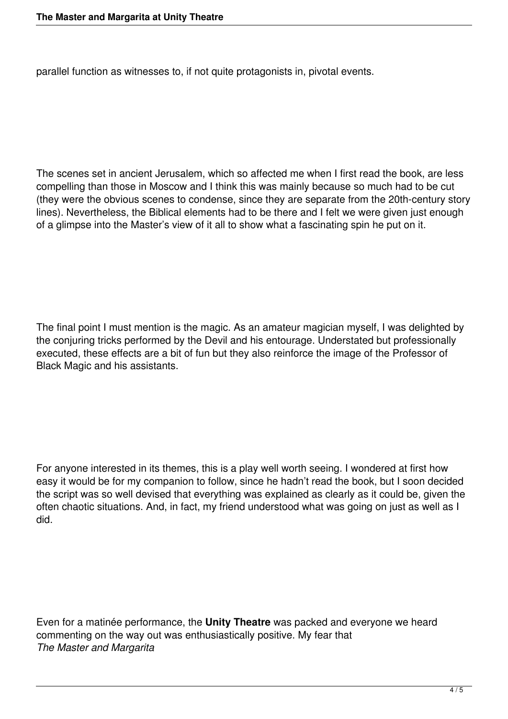parallel function as witnesses to, if not quite protagonists in, pivotal events.

The scenes set in ancient Jerusalem, which so affected me when I first read the book, are less compelling than those in Moscow and I think this was mainly because so much had to be cut (they were the obvious scenes to condense, since they are separate from the 20th-century story lines). Nevertheless, the Biblical elements had to be there and I felt we were given just enough of a glimpse into the Master's view of it all to show what a fascinating spin he put on it.

The final point I must mention is the magic. As an amateur magician myself, I was delighted by the conjuring tricks performed by the Devil and his entourage. Understated but professionally executed, these effects are a bit of fun but they also reinforce the image of the Professor of Black Magic and his assistants.

For anyone interested in its themes, this is a play well worth seeing. I wondered at first how easy it would be for my companion to follow, since he hadn't read the book, but I soon decided the script was so well devised that everything was explained as clearly as it could be, given the often chaotic situations. And, in fact, my friend understood what was going on just as well as I did.

Even for a matinée performance, the **Unity Theatre** was packed and everyone we heard commenting on the way out was enthusiastically positive. My fear that *The Master and Margarita*